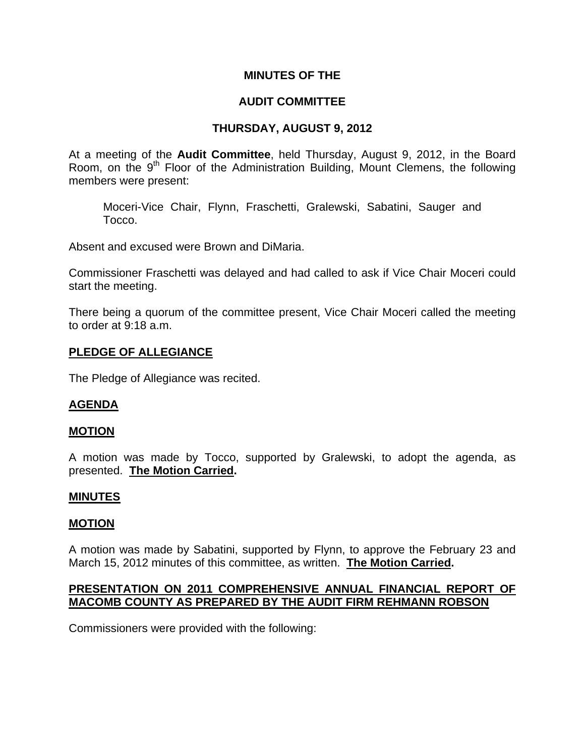## **MINUTES OF THE**

# **AUDIT COMMITTEE**

## **THURSDAY, AUGUST 9, 2012**

At a meeting of the **Audit Committee**, held Thursday, August 9, 2012, in the Board Room, on the 9<sup>th</sup> Floor of the Administration Building, Mount Clemens, the following members were present:

Moceri-Vice Chair, Flynn, Fraschetti, Gralewski, Sabatini, Sauger and Tocco.

Absent and excused were Brown and DiMaria.

Commissioner Fraschetti was delayed and had called to ask if Vice Chair Moceri could start the meeting.

There being a quorum of the committee present, Vice Chair Moceri called the meeting to order at 9:18 a.m.

## **PLEDGE OF ALLEGIANCE**

The Pledge of Allegiance was recited.

## **AGENDA**

#### **MOTION**

A motion was made by Tocco, supported by Gralewski, to adopt the agenda, as presented. **The Motion Carried.** 

#### **MINUTES**

#### **MOTION**

A motion was made by Sabatini, supported by Flynn, to approve the February 23 and March 15, 2012 minutes of this committee, as written. **The Motion Carried.** 

## **PRESENTATION ON 2011 COMPREHENSIVE ANNUAL FINANCIAL REPORT OF MACOMB COUNTY AS PREPARED BY THE AUDIT FIRM REHMANN ROBSON**

Commissioners were provided with the following: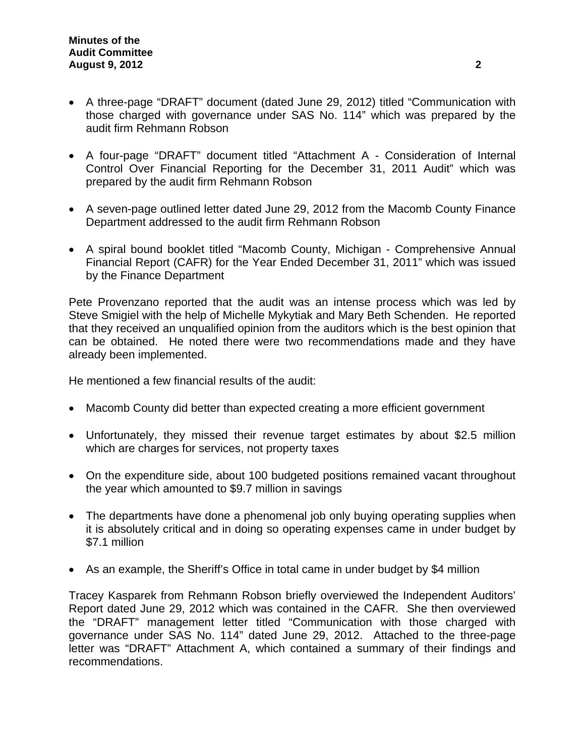- A three-page "DRAFT" document (dated June 29, 2012) titled "Communication with those charged with governance under SAS No. 114" which was prepared by the audit firm Rehmann Robson
- A four-page "DRAFT" document titled "Attachment A Consideration of Internal Control Over Financial Reporting for the December 31, 2011 Audit" which was prepared by the audit firm Rehmann Robson
- A seven-page outlined letter dated June 29, 2012 from the Macomb County Finance Department addressed to the audit firm Rehmann Robson
- A spiral bound booklet titled "Macomb County, Michigan Comprehensive Annual Financial Report (CAFR) for the Year Ended December 31, 2011" which was issued by the Finance Department

Pete Provenzano reported that the audit was an intense process which was led by Steve Smigiel with the help of Michelle Mykytiak and Mary Beth Schenden. He reported that they received an unqualified opinion from the auditors which is the best opinion that can be obtained. He noted there were two recommendations made and they have already been implemented.

He mentioned a few financial results of the audit:

- Macomb County did better than expected creating a more efficient government
- Unfortunately, they missed their revenue target estimates by about \$2.5 million which are charges for services, not property taxes
- On the expenditure side, about 100 budgeted positions remained vacant throughout the year which amounted to \$9.7 million in savings
- The departments have done a phenomenal job only buying operating supplies when it is absolutely critical and in doing so operating expenses came in under budget by \$7.1 million
- As an example, the Sheriff's Office in total came in under budget by \$4 million

Tracey Kasparek from Rehmann Robson briefly overviewed the Independent Auditors' Report dated June 29, 2012 which was contained in the CAFR. She then overviewed the "DRAFT" management letter titled "Communication with those charged with governance under SAS No. 114" dated June 29, 2012. Attached to the three-page letter was "DRAFT" Attachment A, which contained a summary of their findings and recommendations.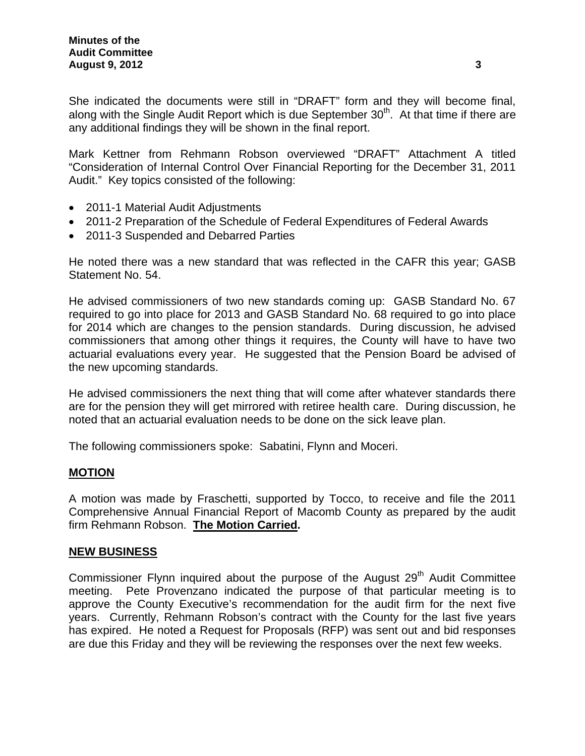She indicated the documents were still in "DRAFT" form and they will become final, along with the Single Audit Report which is due September  $30<sup>th</sup>$ . At that time if there are any additional findings they will be shown in the final report.

Mark Kettner from Rehmann Robson overviewed "DRAFT" Attachment A titled "Consideration of Internal Control Over Financial Reporting for the December 31, 2011 Audit." Key topics consisted of the following:

- 2011-1 Material Audit Adjustments
- 2011-2 Preparation of the Schedule of Federal Expenditures of Federal Awards
- 2011-3 Suspended and Debarred Parties

He noted there was a new standard that was reflected in the CAFR this year; GASB Statement No. 54.

He advised commissioners of two new standards coming up: GASB Standard No. 67 required to go into place for 2013 and GASB Standard No. 68 required to go into place for 2014 which are changes to the pension standards. During discussion, he advised commissioners that among other things it requires, the County will have to have two actuarial evaluations every year. He suggested that the Pension Board be advised of the new upcoming standards.

He advised commissioners the next thing that will come after whatever standards there are for the pension they will get mirrored with retiree health care. During discussion, he noted that an actuarial evaluation needs to be done on the sick leave plan.

The following commissioners spoke: Sabatini, Flynn and Moceri.

## **MOTION**

A motion was made by Fraschetti, supported by Tocco, to receive and file the 2011 Comprehensive Annual Financial Report of Macomb County as prepared by the audit firm Rehmann Robson. **The Motion Carried.** 

## **NEW BUSINESS**

Commissioner Flynn inquired about the purpose of the August 29<sup>th</sup> Audit Committee meeting. Pete Provenzano indicated the purpose of that particular meeting is to approve the County Executive's recommendation for the audit firm for the next five years. Currently, Rehmann Robson's contract with the County for the last five years has expired. He noted a Request for Proposals (RFP) was sent out and bid responses are due this Friday and they will be reviewing the responses over the next few weeks.